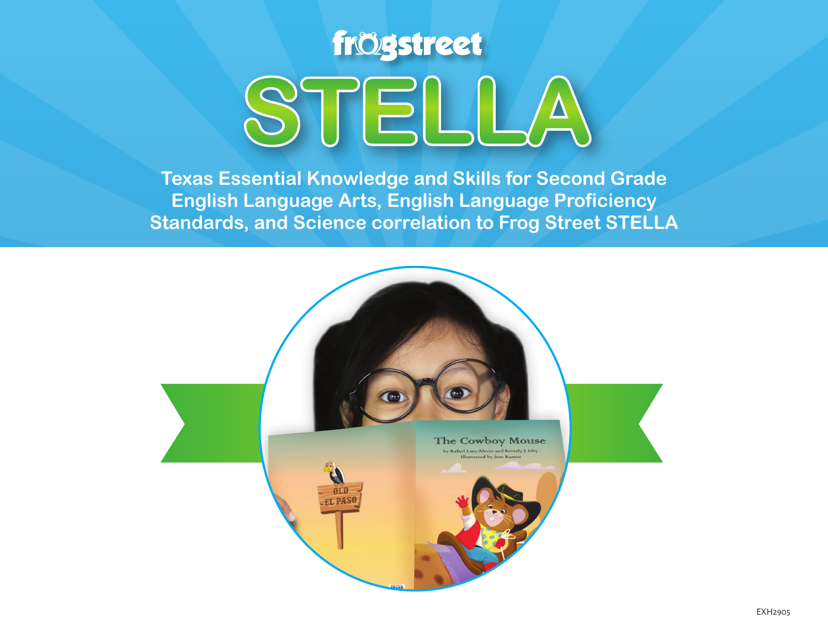

**Texas Essential Knowledge and Skills for Second Grade English Language Arts, English Language Proficiency Standards, and Science correlation to Frog Street STELLA**

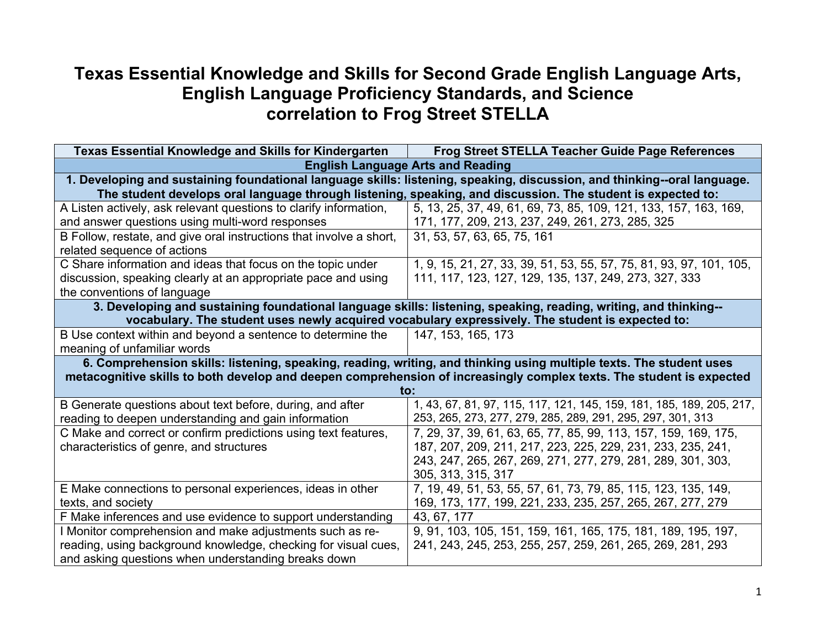## **Texas Essential Knowledge and Skills for Second Grade English Language Arts, English Language Proficiency Standards, and Science correlation to Frog Street STELLA**

| Texas Essential Knowledge and Skills for Kindergarten                                                                    | <b>Frog Street STELLA Teacher Guide Page References</b>                                                              |
|--------------------------------------------------------------------------------------------------------------------------|----------------------------------------------------------------------------------------------------------------------|
| <b>English Language Arts and Reading</b>                                                                                 |                                                                                                                      |
| 1. Developing and sustaining foundational language skills: listening, speaking, discussion, and thinking--oral language. |                                                                                                                      |
|                                                                                                                          | The student develops oral language through listening, speaking, and discussion. The student is expected to:          |
| A Listen actively, ask relevant questions to clarify information,                                                        | 5, 13, 25, 37, 49, 61, 69, 73, 85, 109, 121, 133, 157, 163, 169,                                                     |
| and answer questions using multi-word responses                                                                          | 171, 177, 209, 213, 237, 249, 261, 273, 285, 325                                                                     |
| B Follow, restate, and give oral instructions that involve a short,                                                      | 31, 53, 57, 63, 65, 75, 161                                                                                          |
| related sequence of actions                                                                                              |                                                                                                                      |
| C Share information and ideas that focus on the topic under                                                              | 1, 9, 15, 21, 27, 33, 39, 51, 53, 55, 57, 75, 81, 93, 97, 101, 105,                                                  |
| discussion, speaking clearly at an appropriate pace and using                                                            | 111, 117, 123, 127, 129, 135, 137, 249, 273, 327, 333                                                                |
| the conventions of language                                                                                              |                                                                                                                      |
| 3. Developing and sustaining foundational language skills: listening, speaking, reading, writing, and thinking--         |                                                                                                                      |
|                                                                                                                          | vocabulary. The student uses newly acquired vocabulary expressively. The student is expected to:                     |
| B Use context within and beyond a sentence to determine the                                                              | 147, 153, 165, 173                                                                                                   |
| meaning of unfamiliar words                                                                                              |                                                                                                                      |
|                                                                                                                          | 6. Comprehension skills: listening, speaking, reading, writing, and thinking using multiple texts. The student uses  |
|                                                                                                                          | metacognitive skills to both develop and deepen comprehension of increasingly complex texts. The student is expected |
|                                                                                                                          | to:                                                                                                                  |
| B Generate questions about text before, during, and after                                                                | 1, 43, 67, 81, 97, 115, 117, 121, 145, 159, 181, 185, 189, 205, 217,                                                 |
| reading to deepen understanding and gain information                                                                     | 253, 265, 273, 277, 279, 285, 289, 291, 295, 297, 301, 313                                                           |
| C Make and correct or confirm predictions using text features,                                                           | 7, 29, 37, 39, 61, 63, 65, 77, 85, 99, 113, 157, 159, 169, 175,                                                      |
| characteristics of genre, and structures                                                                                 | 187, 207, 209, 211, 217, 223, 225, 229, 231, 233, 235, 241,                                                          |
|                                                                                                                          | 243, 247, 265, 267, 269, 271, 277, 279, 281, 289, 301, 303,                                                          |
|                                                                                                                          | 305, 313, 315, 317                                                                                                   |
| E Make connections to personal experiences, ideas in other                                                               | 7, 19, 49, 51, 53, 55, 57, 61, 73, 79, 85, 115, 123, 135, 149,                                                       |
| texts, and society                                                                                                       | 169, 173, 177, 199, 221, 233, 235, 257, 265, 267, 277, 279                                                           |
| F Make inferences and use evidence to support understanding                                                              | 43, 67, 177                                                                                                          |
| I Monitor comprehension and make adjustments such as re-                                                                 | 9, 91, 103, 105, 151, 159, 161, 165, 175, 181, 189, 195, 197,                                                        |
| reading, using background knowledge, checking for visual cues,                                                           | 241, 243, 245, 253, 255, 257, 259, 261, 265, 269, 281, 293                                                           |
| and asking questions when understanding breaks down                                                                      |                                                                                                                      |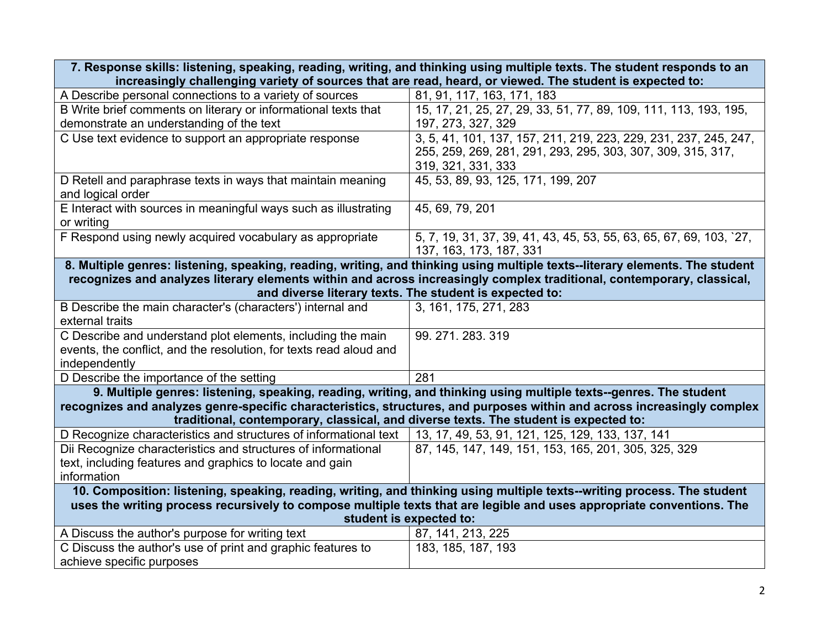| 7. Response skills: listening, speaking, reading, writing, and thinking using multiple texts. The student responds to an |                                                                                                                              |  |
|--------------------------------------------------------------------------------------------------------------------------|------------------------------------------------------------------------------------------------------------------------------|--|
|                                                                                                                          | increasingly challenging variety of sources that are read, heard, or viewed. The student is expected to:                     |  |
| A Describe personal connections to a variety of sources                                                                  | 81, 91, 117, 163, 171, 183                                                                                                   |  |
| B Write brief comments on literary or informational texts that                                                           | 15, 17, 21, 25, 27, 29, 33, 51, 77, 89, 109, 111, 113, 193, 195,                                                             |  |
| demonstrate an understanding of the text                                                                                 | 197, 273, 327, 329                                                                                                           |  |
| C Use text evidence to support an appropriate response                                                                   | 3, 5, 41, 101, 137, 157, 211, 219, 223, 229, 231, 237, 245, 247,                                                             |  |
|                                                                                                                          | 255, 259, 269, 281, 291, 293, 295, 303, 307, 309, 315, 317,                                                                  |  |
|                                                                                                                          | 319, 321, 331, 333                                                                                                           |  |
| D Retell and paraphrase texts in ways that maintain meaning                                                              | 45, 53, 89, 93, 125, 171, 199, 207                                                                                           |  |
| and logical order                                                                                                        |                                                                                                                              |  |
| E Interact with sources in meaningful ways such as illustrating                                                          | 45, 69, 79, 201                                                                                                              |  |
| or writing                                                                                                               |                                                                                                                              |  |
| F Respond using newly acquired vocabulary as appropriate                                                                 | 5, 7, 19, 31, 37, 39, 41, 43, 45, 53, 55, 63, 65, 67, 69, 103, 27,                                                           |  |
|                                                                                                                          | 137, 163, 173, 187, 331                                                                                                      |  |
|                                                                                                                          | 8. Multiple genres: listening, speaking, reading, writing, and thinking using multiple texts--literary elements. The student |  |
|                                                                                                                          | recognizes and analyzes literary elements within and across increasingly complex traditional, contemporary, classical,       |  |
|                                                                                                                          | and diverse literary texts. The student is expected to:                                                                      |  |
| B Describe the main character's (characters') internal and                                                               | 3, 161, 175, 271, 283                                                                                                        |  |
| external traits                                                                                                          |                                                                                                                              |  |
| C Describe and understand plot elements, including the main                                                              | 99. 271. 283. 319                                                                                                            |  |
| events, the conflict, and the resolution, for texts read aloud and                                                       |                                                                                                                              |  |
| independently                                                                                                            |                                                                                                                              |  |
| D Describe the importance of the setting                                                                                 | 281                                                                                                                          |  |
| 9. Multiple genres: listening, speaking, reading, writing, and thinking using multiple texts-genres. The student         |                                                                                                                              |  |
| recognizes and analyzes genre-specific characteristics, structures, and purposes within and across increasingly complex  |                                                                                                                              |  |
| traditional, contemporary, classical, and diverse texts. The student is expected to:                                     |                                                                                                                              |  |
| D Recognize characteristics and structures of informational text                                                         | 13, 17, 49, 53, 91, 121, 125, 129, 133, 137, 141                                                                             |  |
| Dii Recognize characteristics and structures of informational                                                            | 87, 145, 147, 149, 151, 153, 165, 201, 305, 325, 329                                                                         |  |
| text, including features and graphics to locate and gain                                                                 |                                                                                                                              |  |
| information                                                                                                              |                                                                                                                              |  |
| 10. Composition: listening, speaking, reading, writing, and thinking using multiple texts--writing process. The student  |                                                                                                                              |  |
| uses the writing process recursively to compose multiple texts that are legible and uses appropriate conventions. The    |                                                                                                                              |  |
| student is expected to:                                                                                                  |                                                                                                                              |  |
| A Discuss the author's purpose for writing text                                                                          | 87, 141, 213, 225                                                                                                            |  |
| C Discuss the author's use of print and graphic features to                                                              | 183, 185, 187, 193                                                                                                           |  |
| achieve specific purposes                                                                                                |                                                                                                                              |  |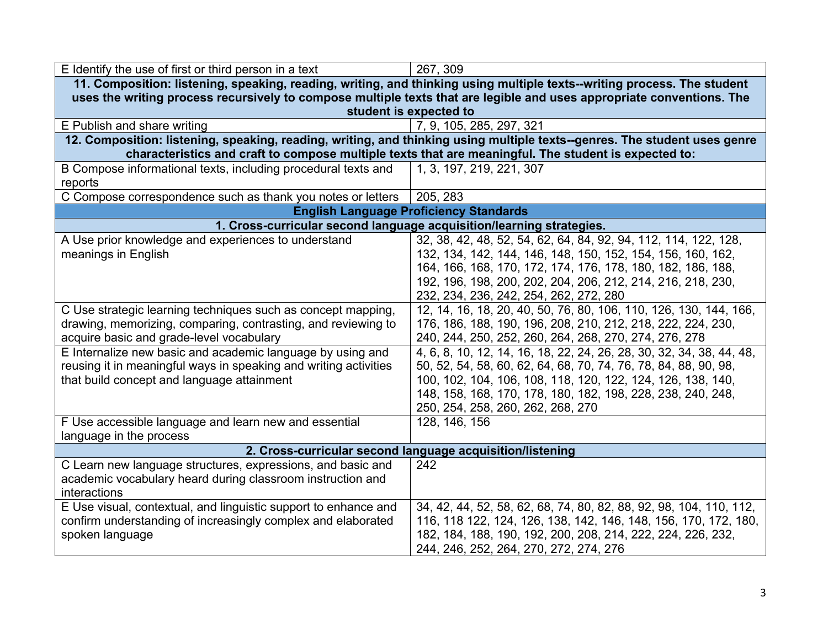| E Identify the use of first or third person in a text                                                                                                                                                                                                                                                                                                                                                                                   | 267, 309                                                                                                                                                                                                                                                                                                                                                                                                                                                                                                                                                                                                                                                                                                                                                                                                          |  |
|-----------------------------------------------------------------------------------------------------------------------------------------------------------------------------------------------------------------------------------------------------------------------------------------------------------------------------------------------------------------------------------------------------------------------------------------|-------------------------------------------------------------------------------------------------------------------------------------------------------------------------------------------------------------------------------------------------------------------------------------------------------------------------------------------------------------------------------------------------------------------------------------------------------------------------------------------------------------------------------------------------------------------------------------------------------------------------------------------------------------------------------------------------------------------------------------------------------------------------------------------------------------------|--|
|                                                                                                                                                                                                                                                                                                                                                                                                                                         | 11. Composition: listening, speaking, reading, writing, and thinking using multiple texts--writing process. The student                                                                                                                                                                                                                                                                                                                                                                                                                                                                                                                                                                                                                                                                                           |  |
| uses the writing process recursively to compose multiple texts that are legible and uses appropriate conventions. The                                                                                                                                                                                                                                                                                                                   |                                                                                                                                                                                                                                                                                                                                                                                                                                                                                                                                                                                                                                                                                                                                                                                                                   |  |
|                                                                                                                                                                                                                                                                                                                                                                                                                                         | student is expected to                                                                                                                                                                                                                                                                                                                                                                                                                                                                                                                                                                                                                                                                                                                                                                                            |  |
| E Publish and share writing                                                                                                                                                                                                                                                                                                                                                                                                             | 7, 9, 105, 285, 297, 321                                                                                                                                                                                                                                                                                                                                                                                                                                                                                                                                                                                                                                                                                                                                                                                          |  |
| 12. Composition: listening, speaking, reading, writing, and thinking using multiple texts--genres. The student uses genre<br>characteristics and craft to compose multiple texts that are meaningful. The student is expected to:                                                                                                                                                                                                       |                                                                                                                                                                                                                                                                                                                                                                                                                                                                                                                                                                                                                                                                                                                                                                                                                   |  |
| B Compose informational texts, including procedural texts and<br>reports                                                                                                                                                                                                                                                                                                                                                                | 1, 3, 197, 219, 221, 307                                                                                                                                                                                                                                                                                                                                                                                                                                                                                                                                                                                                                                                                                                                                                                                          |  |
| C Compose correspondence such as thank you notes or letters                                                                                                                                                                                                                                                                                                                                                                             | 205, 283                                                                                                                                                                                                                                                                                                                                                                                                                                                                                                                                                                                                                                                                                                                                                                                                          |  |
|                                                                                                                                                                                                                                                                                                                                                                                                                                         | <b>English Language Proficiency Standards</b>                                                                                                                                                                                                                                                                                                                                                                                                                                                                                                                                                                                                                                                                                                                                                                     |  |
| 1. Cross-curricular second language acquisition/learning strategies.                                                                                                                                                                                                                                                                                                                                                                    |                                                                                                                                                                                                                                                                                                                                                                                                                                                                                                                                                                                                                                                                                                                                                                                                                   |  |
| A Use prior knowledge and experiences to understand<br>meanings in English<br>C Use strategic learning techniques such as concept mapping,<br>drawing, memorizing, comparing, contrasting, and reviewing to<br>acquire basic and grade-level vocabulary<br>E Internalize new basic and academic language by using and<br>reusing it in meaningful ways in speaking and writing activities<br>that build concept and language attainment | 32, 38, 42, 48, 52, 54, 62, 64, 84, 92, 94, 112, 114, 122, 128,<br>132, 134, 142, 144, 146, 148, 150, 152, 154, 156, 160, 162,<br>164, 166, 168, 170, 172, 174, 176, 178, 180, 182, 186, 188,<br>192, 196, 198, 200, 202, 204, 206, 212, 214, 216, 218, 230,<br>232, 234, 236, 242, 254, 262, 272, 280<br>12, 14, 16, 18, 20, 40, 50, 76, 80, 106, 110, 126, 130, 144, 166,<br>176, 186, 188, 190, 196, 208, 210, 212, 218, 222, 224, 230,<br>240, 244, 250, 252, 260, 264, 268, 270, 274, 276, 278<br>4, 6, 8, 10, 12, 14, 16, 18, 22, 24, 26, 28, 30, 32, 34, 38, 44, 48,<br>50, 52, 54, 58, 60, 62, 64, 68, 70, 74, 76, 78, 84, 88, 90, 98,<br>100, 102, 104, 106, 108, 118, 120, 122, 124, 126, 138, 140,<br>148, 158, 168, 170, 178, 180, 182, 198, 228, 238, 240, 248,<br>250, 254, 258, 260, 262, 268, 270 |  |
| F Use accessible language and learn new and essential<br>language in the process                                                                                                                                                                                                                                                                                                                                                        | 128, 146, 156                                                                                                                                                                                                                                                                                                                                                                                                                                                                                                                                                                                                                                                                                                                                                                                                     |  |
| 2. Cross-curricular second language acquisition/listening                                                                                                                                                                                                                                                                                                                                                                               |                                                                                                                                                                                                                                                                                                                                                                                                                                                                                                                                                                                                                                                                                                                                                                                                                   |  |
| C Learn new language structures, expressions, and basic and                                                                                                                                                                                                                                                                                                                                                                             | 242                                                                                                                                                                                                                                                                                                                                                                                                                                                                                                                                                                                                                                                                                                                                                                                                               |  |
| academic vocabulary heard during classroom instruction and<br>interactions                                                                                                                                                                                                                                                                                                                                                              |                                                                                                                                                                                                                                                                                                                                                                                                                                                                                                                                                                                                                                                                                                                                                                                                                   |  |
| E Use visual, contextual, and linguistic support to enhance and<br>confirm understanding of increasingly complex and elaborated<br>spoken language                                                                                                                                                                                                                                                                                      | 34, 42, 44, 52, 58, 62, 68, 74, 80, 82, 88, 92, 98, 104, 110, 112,<br>116, 118 122, 124, 126, 138, 142, 146, 148, 156, 170, 172, 180,<br>182, 184, 188, 190, 192, 200, 208, 214, 222, 224, 226, 232,<br>244, 246, 252, 264, 270, 272, 274, 276                                                                                                                                                                                                                                                                                                                                                                                                                                                                                                                                                                    |  |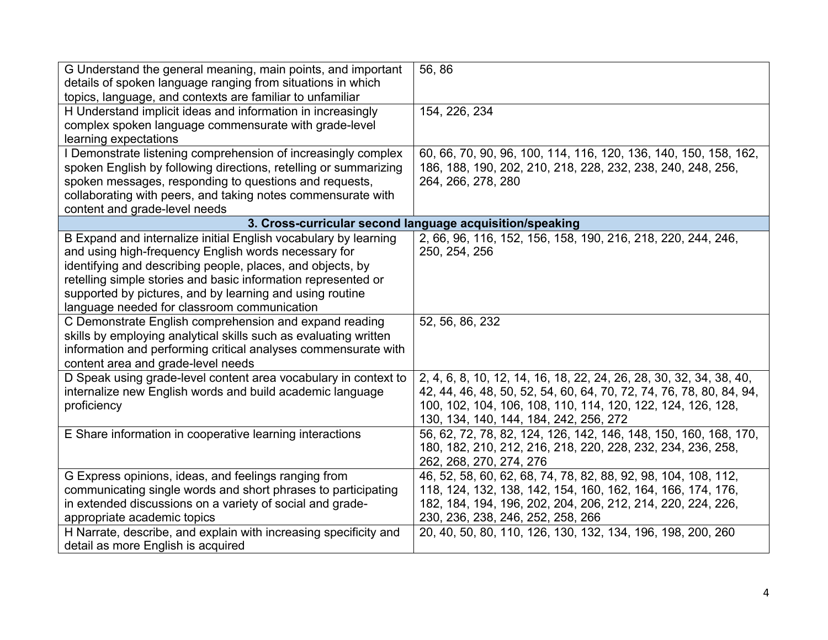| G Understand the general meaning, main points, and important<br>details of spoken language ranging from situations in which<br>topics, language, and contexts are familiar to unfamiliar                                                                                                                                                                          | 56,86                                                                                                                                                                                                                                               |
|-------------------------------------------------------------------------------------------------------------------------------------------------------------------------------------------------------------------------------------------------------------------------------------------------------------------------------------------------------------------|-----------------------------------------------------------------------------------------------------------------------------------------------------------------------------------------------------------------------------------------------------|
| H Understand implicit ideas and information in increasingly<br>complex spoken language commensurate with grade-level<br>learning expectations                                                                                                                                                                                                                     | 154, 226, 234                                                                                                                                                                                                                                       |
| I Demonstrate listening comprehension of increasingly complex<br>spoken English by following directions, retelling or summarizing<br>spoken messages, responding to questions and requests,<br>collaborating with peers, and taking notes commensurate with<br>content and grade-level needs                                                                      | 60, 66, 70, 90, 96, 100, 114, 116, 120, 136, 140, 150, 158, 162,<br>186, 188, 190, 202, 210, 218, 228, 232, 238, 240, 248, 256,<br>264, 266, 278, 280                                                                                               |
| 3. Cross-curricular second language acquisition/speaking                                                                                                                                                                                                                                                                                                          |                                                                                                                                                                                                                                                     |
| B Expand and internalize initial English vocabulary by learning<br>and using high-frequency English words necessary for<br>identifying and describing people, places, and objects, by<br>retelling simple stories and basic information represented or<br>supported by pictures, and by learning and using routine<br>language needed for classroom communication | 2, 66, 96, 116, 152, 156, 158, 190, 216, 218, 220, 244, 246,<br>250, 254, 256                                                                                                                                                                       |
| C Demonstrate English comprehension and expand reading<br>skills by employing analytical skills such as evaluating written<br>information and performing critical analyses commensurate with<br>content area and grade-level needs                                                                                                                                | 52, 56, 86, 232                                                                                                                                                                                                                                     |
| D Speak using grade-level content area vocabulary in context to<br>internalize new English words and build academic language<br>proficiency                                                                                                                                                                                                                       | 2, 4, 6, 8, 10, 12, 14, 16, 18, 22, 24, 26, 28, 30, 32, 34, 38, 40,<br>42, 44, 46, 48, 50, 52, 54, 60, 64, 70, 72, 74, 76, 78, 80, 84, 94,<br>100, 102, 104, 106, 108, 110, 114, 120, 122, 124, 126, 128,<br>130, 134, 140, 144, 184, 242, 256, 272 |
| E Share information in cooperative learning interactions                                                                                                                                                                                                                                                                                                          | 56, 62, 72, 78, 82, 124, 126, 142, 146, 148, 150, 160, 168, 170,<br>180, 182, 210, 212, 216, 218, 220, 228, 232, 234, 236, 258,<br>262, 268, 270, 274, 276                                                                                          |
| G Express opinions, ideas, and feelings ranging from<br>communicating single words and short phrases to participating<br>in extended discussions on a variety of social and grade-<br>appropriate academic topics                                                                                                                                                 | 46, 52, 58, 60, 62, 68, 74, 78, 82, 88, 92, 98, 104, 108, 112,<br>118, 124, 132, 138, 142, 154, 160, 162, 164, 166, 174, 176,<br>182, 184, 194, 196, 202, 204, 206, 212, 214, 220, 224, 226,<br>230, 236, 238, 246, 252, 258, 266                   |
| H Narrate, describe, and explain with increasing specificity and<br>detail as more English is acquired                                                                                                                                                                                                                                                            | 20, 40, 50, 80, 110, 126, 130, 132, 134, 196, 198, 200, 260                                                                                                                                                                                         |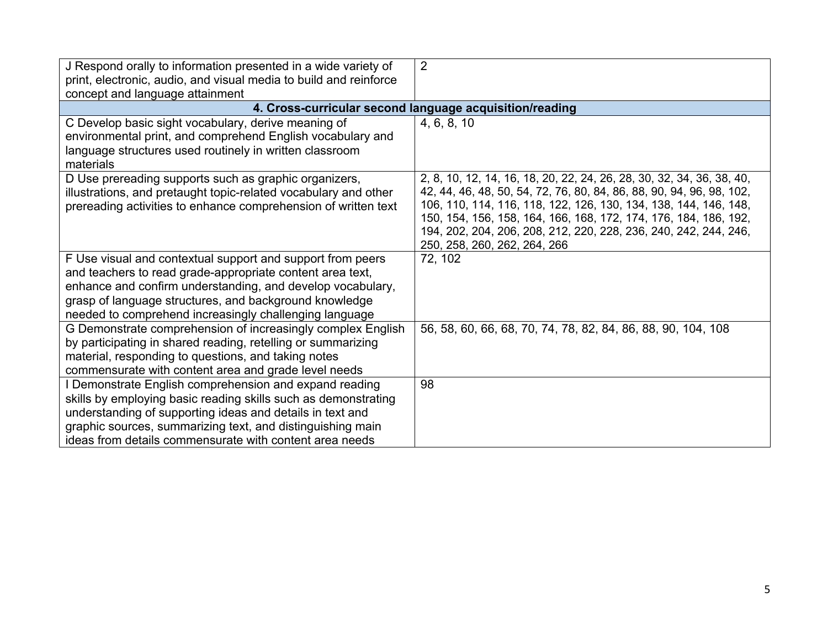| J Respond orally to information presented in a wide variety of<br>print, electronic, audio, and visual media to build and reinforce<br>concept and language attainment                                                                                                                                         | $\overline{2}$                                                                                                                                                                                                                                                                                                                                                                            |
|----------------------------------------------------------------------------------------------------------------------------------------------------------------------------------------------------------------------------------------------------------------------------------------------------------------|-------------------------------------------------------------------------------------------------------------------------------------------------------------------------------------------------------------------------------------------------------------------------------------------------------------------------------------------------------------------------------------------|
|                                                                                                                                                                                                                                                                                                                | 4. Cross-curricular second language acquisition/reading                                                                                                                                                                                                                                                                                                                                   |
| C Develop basic sight vocabulary, derive meaning of<br>environmental print, and comprehend English vocabulary and<br>language structures used routinely in written classroom<br>materials                                                                                                                      | 4, 6, 8, 10                                                                                                                                                                                                                                                                                                                                                                               |
| D Use prereading supports such as graphic organizers,<br>illustrations, and pretaught topic-related vocabulary and other<br>prereading activities to enhance comprehension of written text                                                                                                                     | 2, 8, 10, 12, 14, 16, 18, 20, 22, 24, 26, 28, 30, 32, 34, 36, 38, 40,<br>42, 44, 46, 48, 50, 54, 72, 76, 80, 84, 86, 88, 90, 94, 96, 98, 102,<br>106, 110, 114, 116, 118, 122, 126, 130, 134, 138, 144, 146, 148,<br>150, 154, 156, 158, 164, 166, 168, 172, 174, 176, 184, 186, 192,<br>194, 202, 204, 206, 208, 212, 220, 228, 236, 240, 242, 244, 246,<br>250, 258, 260, 262, 264, 266 |
| F Use visual and contextual support and support from peers<br>and teachers to read grade-appropriate content area text,<br>enhance and confirm understanding, and develop vocabulary,<br>grasp of language structures, and background knowledge<br>needed to comprehend increasingly challenging language      | 72, 102                                                                                                                                                                                                                                                                                                                                                                                   |
| G Demonstrate comprehension of increasingly complex English<br>by participating in shared reading, retelling or summarizing<br>material, responding to questions, and taking notes<br>commensurate with content area and grade level needs                                                                     | 56, 58, 60, 66, 68, 70, 74, 78, 82, 84, 86, 88, 90, 104, 108                                                                                                                                                                                                                                                                                                                              |
| I Demonstrate English comprehension and expand reading<br>skills by employing basic reading skills such as demonstrating<br>understanding of supporting ideas and details in text and<br>graphic sources, summarizing text, and distinguishing main<br>ideas from details commensurate with content area needs | 98                                                                                                                                                                                                                                                                                                                                                                                        |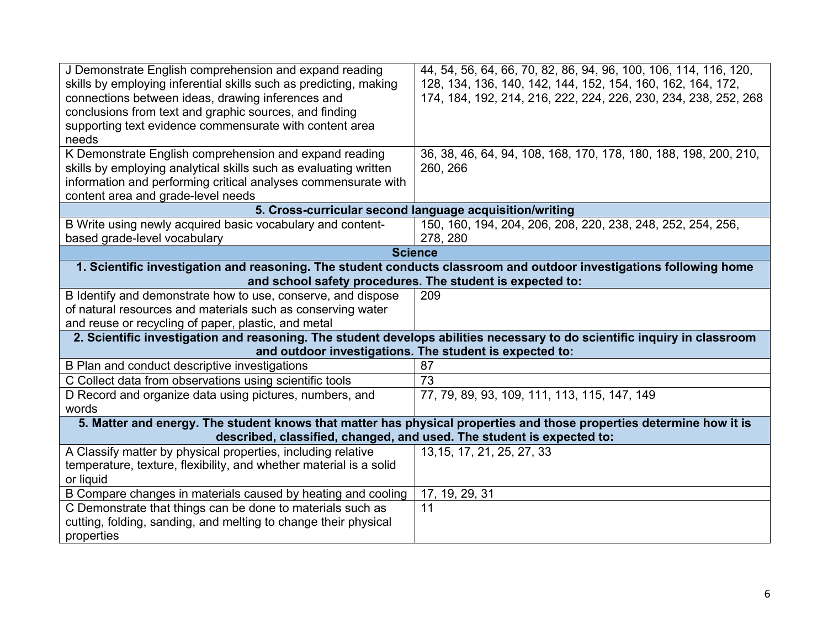| J Demonstrate English comprehension and expand reading<br>skills by employing inferential skills such as predicting, making<br>connections between ideas, drawing inferences and<br>conclusions from text and graphic sources, and finding<br>supporting text evidence commensurate with content area<br>needs<br>K Demonstrate English comprehension and expand reading | 44, 54, 56, 64, 66, 70, 82, 86, 94, 96, 100, 106, 114, 116, 120,<br>128, 134, 136, 140, 142, 144, 152, 154, 160, 162, 164, 172,<br>174, 184, 192, 214, 216, 222, 224, 226, 230, 234, 238, 252, 268<br>36, 38, 46, 64, 94, 108, 168, 170, 178, 180, 188, 198, 200, 210, |
|--------------------------------------------------------------------------------------------------------------------------------------------------------------------------------------------------------------------------------------------------------------------------------------------------------------------------------------------------------------------------|------------------------------------------------------------------------------------------------------------------------------------------------------------------------------------------------------------------------------------------------------------------------|
| skills by employing analytical skills such as evaluating written<br>information and performing critical analyses commensurate with<br>content area and grade-level needs                                                                                                                                                                                                 | 260, 266                                                                                                                                                                                                                                                               |
|                                                                                                                                                                                                                                                                                                                                                                          | 5. Cross-curricular second language acquisition/writing                                                                                                                                                                                                                |
| B Write using newly acquired basic vocabulary and content-<br>based grade-level vocabulary                                                                                                                                                                                                                                                                               | 150, 160, 194, 204, 206, 208, 220, 238, 248, 252, 254, 256,<br>278, 280                                                                                                                                                                                                |
|                                                                                                                                                                                                                                                                                                                                                                          | <b>Science</b>                                                                                                                                                                                                                                                         |
| 1. Scientific investigation and reasoning. The student conducts classroom and outdoor investigations following home<br>and school safety procedures. The student is expected to:                                                                                                                                                                                         |                                                                                                                                                                                                                                                                        |
| B Identify and demonstrate how to use, conserve, and dispose                                                                                                                                                                                                                                                                                                             | 209                                                                                                                                                                                                                                                                    |
| of natural resources and materials such as conserving water                                                                                                                                                                                                                                                                                                              |                                                                                                                                                                                                                                                                        |
| and reuse or recycling of paper, plastic, and metal                                                                                                                                                                                                                                                                                                                      |                                                                                                                                                                                                                                                                        |
| 2. Scientific investigation and reasoning. The student develops abilities necessary to do scientific inquiry in classroom<br>and outdoor investigations. The student is expected to:                                                                                                                                                                                     |                                                                                                                                                                                                                                                                        |
| B Plan and conduct descriptive investigations                                                                                                                                                                                                                                                                                                                            | 87                                                                                                                                                                                                                                                                     |
| C Collect data from observations using scientific tools                                                                                                                                                                                                                                                                                                                  | 73                                                                                                                                                                                                                                                                     |
| D Record and organize data using pictures, numbers, and<br>words                                                                                                                                                                                                                                                                                                         | 77, 79, 89, 93, 109, 111, 113, 115, 147, 149                                                                                                                                                                                                                           |
| 5. Matter and energy. The student knows that matter has physical properties and those properties determine how it is                                                                                                                                                                                                                                                     |                                                                                                                                                                                                                                                                        |
| described, classified, changed, and used. The student is expected to:                                                                                                                                                                                                                                                                                                    |                                                                                                                                                                                                                                                                        |
| A Classify matter by physical properties, including relative                                                                                                                                                                                                                                                                                                             | 13, 15, 17, 21, 25, 27, 33                                                                                                                                                                                                                                             |
| temperature, texture, flexibility, and whether material is a solid                                                                                                                                                                                                                                                                                                       |                                                                                                                                                                                                                                                                        |
| or liquid                                                                                                                                                                                                                                                                                                                                                                |                                                                                                                                                                                                                                                                        |
| B Compare changes in materials caused by heating and cooling                                                                                                                                                                                                                                                                                                             | 17, 19, 29, 31                                                                                                                                                                                                                                                         |
| C Demonstrate that things can be done to materials such as                                                                                                                                                                                                                                                                                                               | 11                                                                                                                                                                                                                                                                     |
| cutting, folding, sanding, and melting to change their physical                                                                                                                                                                                                                                                                                                          |                                                                                                                                                                                                                                                                        |
| properties                                                                                                                                                                                                                                                                                                                                                               |                                                                                                                                                                                                                                                                        |